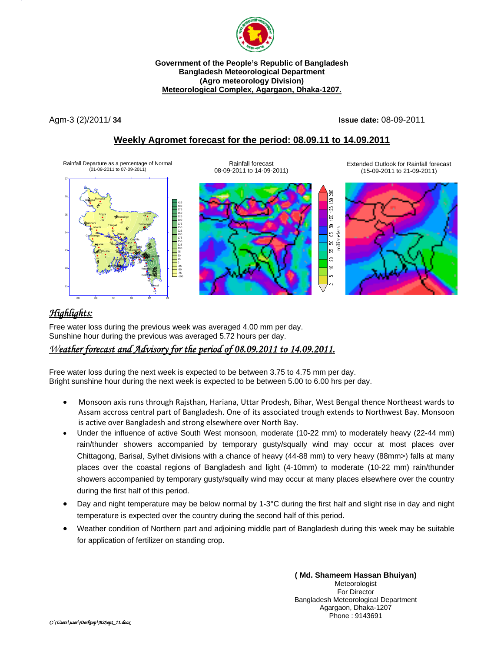

**Government of the People's Republic of Bangladesh Bangladesh Meteorological Department (Agro meteorology Division) Meteorological Complex, Agargaon, Dhaka-1207.**

Agm-3 (2)/2011/ **34 Issue date:** 08-09-2011

200 50 S ġ 읇

5 g ន្ត  $\overline{20}$  $\equiv$ 

## **Weekly Agromet forecast for the period: 08.09.11 to 14.09.2011**

Rainfall forecast

Rainfall Departure as a percentage of Normal (01-09-2011 to 07-09-2011)





Extended Outlook for Rainfall forecast (15-09-2011 to 21-09-2011)



# *Highlights:*

Free water loss during the previous week was averaged 4.00 mm per day. Sunshine hour during the previous was averaged 5.72 hours per day.

## *Weather forecast and Advisory for the period of 08.09.2011 to 14.09.2011.*

Free water loss during the next week is expected to be between 3.75 to 4.75 mm per day. Bright sunshine hour during the next week is expected to be between 5.00 to 6.00 hrs per day.

- Monsoon axis runs through Rajsthan, Hariana, Uttar Prodesh, Bihar, West Bengal thence Northeast wards to Assam accross central part of Bangladesh. One of its associated trough extends to Northwest Bay. Monsoon is active over Bangladesh and strong elsewhere over North Bay.
- Under the influence of active South West monsoon, moderate (10-22 mm) to moderately heavy (22-44 mm) rain/thunder showers accompanied by temporary gusty/squally wind may occur at most places over Chittagong, Barisal, Sylhet divisions with a chance of heavy (44-88 mm) to very heavy (88mm>) falls at many places over the coastal regions of Bangladesh and light (4-10mm) to moderate (10-22 mm) rain/thunder showers accompanied by temporary gusty/squally wind may occur at many places elsewhere over the country during the first half of this period.
- Day and night temperature may be below normal by 1-3°C during the first half and slight rise in day and night temperature is expected over the country during the second half of this period.
- Weather condition of Northern part and adjoining middle part of Bangladesh during this week may be suitable for application of fertilizer on standing crop.

**( Md. Shameem Hassan Bhuiyan)** Meteorologist For Director Bangladesh Meteorological Department Agargaon, Dhaka-1207 Phone : 9143691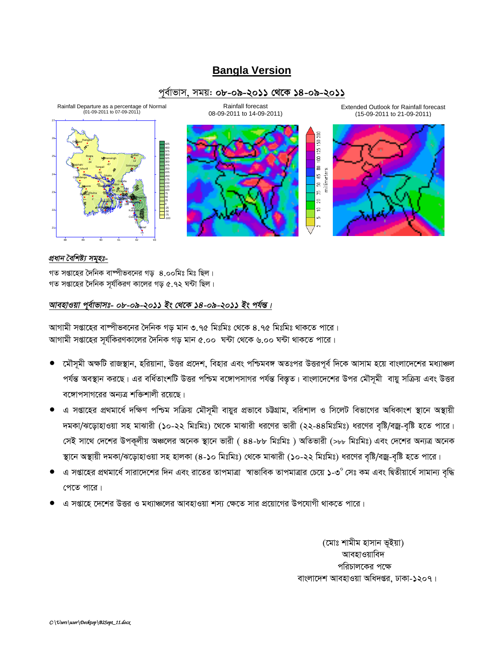# **Bangla Version**

### পূর্বাভাস, সময়: ০৮-০৯-২০১১ থেকে ১৪-০৯-২০১১



### প্ৰধান বৈশিষ্ট্য সমূহঃ-

গত সপ্তাহের দৈনিক বাম্পীভবনের গড ৪.০০মিঃ মিঃ ছিল। গত সপ্তাহের দৈনিক সূর্যকিরণ কালের গড় ৫.৭২ ঘন্টা ছিল।

#### আবহাওয়া পূর্বাভাসঃ- ০৮-০৯-২০১১ ইং থেকে ১৪-০৯-২০১১ ইং পর্যন্ত।

আগামী সপ্তাহের বাষ্পীভবনের দৈনিক গড মান ৩.৭৫ মিঃমিঃ থেকে ৪.৭৫ মিঃমিঃ থাকতে পারে। আগামী সপ্তাহের সূর্যকিরণকালের দৈনিক গড় মান ৫.০০ ঘন্টা থেকে ৬.০০ ঘন্টা থাকতে পারে।

- মৌসূমী অক্ষটি রাজস্থান, হরিয়ানা, উত্তর প্রদেশ, বিহার এবং পশ্চিমবঙ্গ অতঃপর উত্তরপূর্ব দিকে আসাম হয়ে বাংলাদেশের মধ্যাঞ্চল পর্যন্ত অবস্থান করছে। এর বর্ধিতাংশটি উত্তর পশ্চিম বঙ্গোপসাগর পর্যন্ত বিস্তৃত। বাংলাদেশের উপর মৌসূমী বায়ু সক্রিয় এবং উত্তর বঙ্গোপসাগরের অন্যত্র শক্তিশালী রয়েছে।
- এ সপ্তাহের প্রথমার্ধে দক্ষিণ পশ্চিম সক্রিয় মৌসূমী বায়ুর প্রভাবে চট্টগ্রাম, বরিশাল ও সিলেট বিভাগের অধিকাংশ স্থানে অস্থায়ী দমকা/ঝড়োহাওয়া সহ মাঝারী (১০-২২ মিঃমিঃ) থেকে মাঝারী ধরণের ভারী (২২-৪৪মিঃমিঃ) ধরণের বৃষ্টি/বজ্র-বৃষ্টি হতে পারে। সেই সাথে দেশের উপকূলীয় অঞ্চলের অনেক স্থানে ভারী ( ৪৪-৮৮ মিঃমিঃ ) অতিভারী (>৮৮ মিঃমিঃ) এবং দেশের অন্যত্র অনেক স্থানে অস্থায়ী দমকা/ঝড়োহাওয়া সহ হালকা (৪-১০ মিঃমিঃ) থেকে মাঝারী (১০-২২ মিঃমিঃ) ধরণের বৃষ্টি/বজ্র-বৃষ্টি হতে পারে।
- এ সপ্তাহের প্রথমার্ধে সারাদেশের দিন এবং রাতের তাপমাত্রা স্বাভাবিক তাপমাত্রার চেয়ে ১-৩° সেঃ কম এবং দ্বিতীয়ার্ধে সামান্য বৃদ্ধি পেতে পারে।
- এ সপ্তাহে দেশের উত্তর ও মধ্যাঞ্চলের আবহাওয়া শস্য ক্ষেতে সার প্রয়োগের উপযোগী থাকতে পারে।

(মোঃ শামীম হাসান ভূইয়া) আবহাওয়াবিদ পরিচালকের পক্ষে বাংলাদেশ আবহাওয়া অধিদপ্তর, ঢাকা-১২০৭।